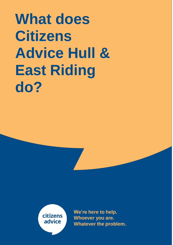**What does Citizens Advice Hull & East Riding do?**

> citizens advice

**We're here to help. Whoever you are. Whatever the problem.**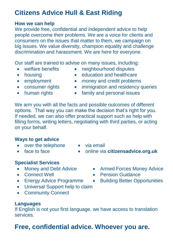# **Citizens Advice Hull & East Riding**

### **How we can help**

We provide free, confidential and independent advice to help people overcome their problems. We are a voice for clients and consumers on the issues that matter to them, we campaign on big issues. We value diversity, champion equality and challenge discrimination and harassment. We are here for everyone.

Our staff are trained to advise on many issues, including:

- welfare benefits neighbourhood disputes
- 
- housing **education and healthcare**
- 
- 
- 
- employment money and credit problems
- consumer rights immigration and residency queries
- human rights family and personal issues

We arm you with all the facts and possible outcomes of different options. That way you can make the decision that's right for you. If needed, we can also offer practical support such as help with filling forms, writing letters, negotiating with third parties, or acting on your behalf.

## **Ways to get advice**

- over the telephone via email
- 
- 
- face to face **online via citizensadvice.org.uk**

## **Specialist Services**

- 
- 
- 
- Universal Support help to claim
- Community Connect

# **Languages**

If English is not your first language, we have access to translation services.

# **Free, confidential advice. Whoever you are.**

- Money and Debt Advice Armed Forces Money Advice
- Connect Well  **Pension Guidance**
- Energy Advice Programme Building Better Opportunities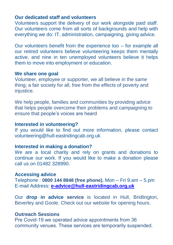#### **Our dedicated staff and volunteers**

Volunteers support the delivery of our work alongside paid staff. Our volunteers come from all sorts of backgrounds and help with everything we do: IT, administration, campaigning, giving advice.

Our volunteers benefit from the experience too – for example all our retired volunteers believe volunteering keeps them mentally active, and nine in ten unemployed volunteers believe it helps them to move into employment or education.

#### **We share one goal**

Volunteer, employee or supporter, we all believe in the same thing; a fair society for all, free from the effects of poverty and injustice.

We help people, families and communities by providing advice that helps people overcome their problems and campaigning to ensure that people's voices are heard

#### **Interested in volunteering?**

If you would like to find out more information, please contact volunteering@hull-eastridingcab.org.uk

#### **Interested in making a donation?**

We are a local charity and rely on grants and donations to continue our work. If you would like to make a donation please call us on 01482 328990.

#### **Accessing advice**

Telephone : **0800 144 8848 (free phone).** Mon – Fri 9.am – 5.pm E-mail Address: **[e-advice@hull-eastridingcab.org.uk](mailto:e-advice@hull-eastridingcab.org.uk)**

Our **drop in advice service** is located in Hull, Bridlington, Beverley and Goole. Check out our website for opening hours.

#### **Outreach Sessions**

Pre Covid-19 we operated advice appointments from 36 community venues. These services are temporarily suspended.